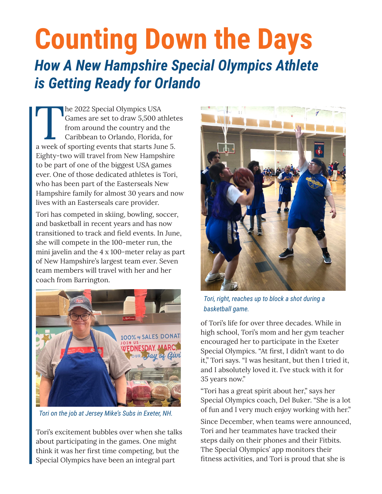## **Counting Down the Days**  *How A New Hampshire Special Olympics Athlete is Getting Ready for Orlando*

The 2022 Special Olympics USA<br>
Games are set to draw 5,500 athlet<br>
from around the country and the<br>
Caribbean to Orlando, Florida, for<br>
a week of sporting events that starts June 5. Games are set to draw 5,500 athletes from around the country and the Caribbean to Orlando, Florida, for Eighty-two will travel from New Hampshire to be part of one of the biggest USA games ever. One of those dedicated athletes is Tori, who has been part of the Easterseals New Hampshire family for almost 30 years and now lives with an Easterseals care provider.

Tori has competed in skiing, bowling, soccer, and basketball in recent years and has now transitioned to track and field events. In June, she will compete in the 100-meter run, the mini javelin and the 4 x 100-meter relay as part of New Hampshire's largest team ever. Seven team members will travel with her and her coach from Barrington.



*Tori on the job at Jersey Mike's Subs in Exeter, NH.*

Tori's excitement bubbles over when she talks about participating in the games. One might think it was her first time competing, but the Special Olympics have been an integral part



*Tori, right, reaches up to block a shot during a basketball game.*

of Tori's life for over three decades. While in high school, Tori's mom and her gym teacher encouraged her to participate in the Exeter Special Olympics. "At first, I didn't want to do it," Tori says. "I was hesitant, but then I tried it, and I absolutely loved it. I've stuck with it for 35 years now."

"Tori has a great spirit about her," says her Special Olympics coach, Del Buker. "She is a lot of fun and I very much enjoy working with her."

Since December, when teams were announced, Tori and her teammates have tracked their steps daily on their phones and their Fitbits. The Special Olympics' app monitors their fitness activities, and Tori is proud that she is